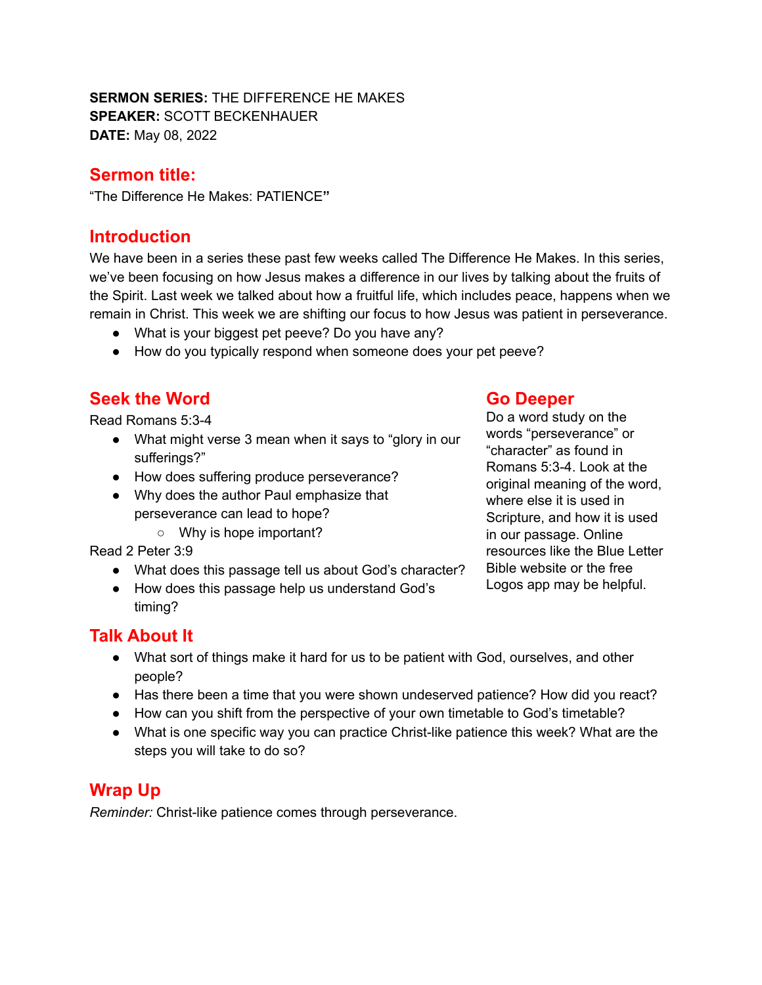#### **SERMON SERIES:** THE DIFFERENCE HE MAKES **SPEAKER:** SCOTT BECKENHAUER **DATE:** May 08, 2022

## **Sermon title:**

"The Difference He Makes: PATIENCE**"**

## **Introduction**

We have been in a series these past few weeks called The Difference He Makes. In this series, we've been focusing on how Jesus makes a difference in our lives by talking about the fruits of the Spirit. Last week we talked about how a fruitful life, which includes peace, happens when we remain in Christ. This week we are shifting our focus to how Jesus was patient in perseverance.

- What is your biggest pet peeve? Do you have any?
- How do you typically respond when someone does your pet peeve?

# **Seek the Word**

Read Romans 5:3-4

- What might verse 3 mean when it says to "glory in our sufferings?"
- How does suffering produce perseverance?
- Why does the author Paul emphasize that perseverance can lead to hope?
	- Why is hope important?

Read 2 Peter 3:9

- What does this passage tell us about God's character?
- How does this passage help us understand God's timing?

### **Go Deeper**

Do a word study on the words "perseverance" or "character" as found in Romans 5:3-4. Look at the original meaning of the word, where else it is used in Scripture, and how it is used in our passage. Online resources like the Blue Letter Bible website or the free Logos app may be helpful.

## **Talk About It**

- What sort of things make it hard for us to be patient with God, ourselves, and other people?
- Has there been a time that you were shown undeserved patience? How did you react?
- How can you shift from the perspective of your own timetable to God's timetable?
- What is one specific way you can practice Christ-like patience this week? What are the steps you will take to do so?

## **Wrap Up**

*Reminder:* Christ-like patience comes through perseverance.